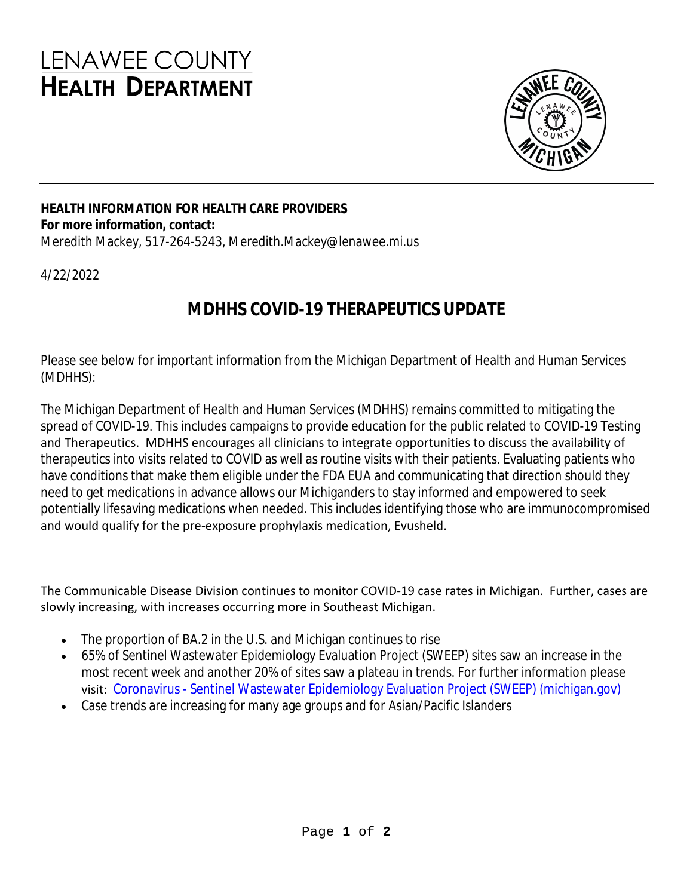# LENAWEE COUNTY **HEALTH DEPARTMENT**



### **HEALTH INFORMATION FOR HEALTH CARE PROVIDERS For more information, contact:**

Meredith Mackey, 517-264-5243, Meredith.Mackey@lenawee.mi.us

4/22/2022

## **MDHHS COVID-19 THERAPEUTICS UPDATE**

Please see below for important information from the Michigan Department of Health and Human Services (MDHHS):

The Michigan Department of Health and Human Services (MDHHS) remains committed to mitigating the spread of COVID-19. This includes campaigns to provide education for the public related to COVID-19 Testing and Therapeutics. MDHHS encourages all clinicians to integrate opportunities to discuss the availability of therapeutics into visits related to COVID as well as routine visits with their patients. Evaluating patients who have conditions that make them eligible under the FDA EUA and communicating that direction should they need to get medications in advance allows our Michiganders to stay informed and empowered to seek potentially lifesaving medications when needed. This includes identifying those who are immunocompromised and would qualify for the pre-exposure prophylaxis medication, Evusheld.

The Communicable Disease Division continues to monitor COVID-19 case rates in Michigan. Further, cases are slowly increasing, with increases occurring more in Southeast Michigan.

- The proportion of BA.2 in the U.S. and Michigan continues to rise
- 65% of Sentinel Wastewater Epidemiology Evaluation Project (SWEEP) sites saw an increase in the most recent week and another 20% of sites saw a plateau in trends. For further information please visit: [Coronavirus - Sentinel Wastewater Epidemiology Evaluation Project \(SWEEP\) \(michigan.gov\)](https://www.michigan.gov/coronavirus/0,9753,7-406-98163_98173-573480--,00.html)
- Case trends are increasing for many age groups and for Asian/Pacific Islanders